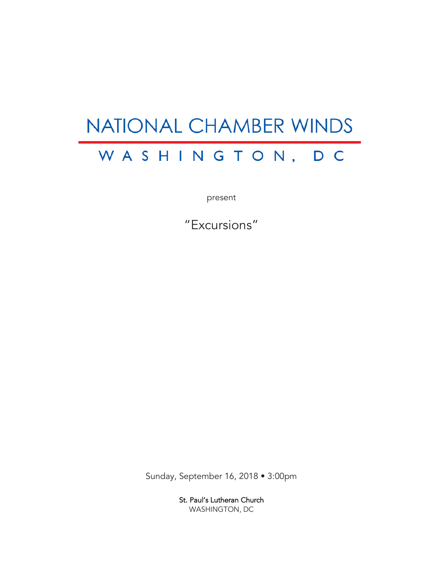# NATIONAL CHAMBER WINDS WASHINGTON, D C

present

"Excursions"

Sunday, September 16, 2018 • 3:00pm

St. Paul's Lutheran Church WASHINGTON, DC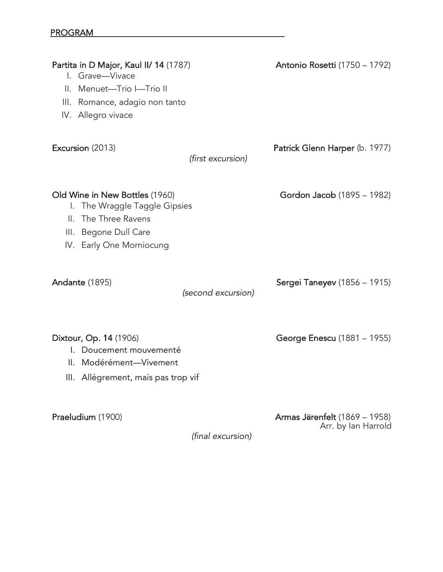| Partita in D Major, Kaul II/ 14 (1787)<br>I. Grave-Vivace<br>Menuet-Trio I-Trio II<br>$\mathbf{II}$ .<br>Ш.<br>Romance, adagio non tanto<br>IV. Allegro vivace |                    | <b>Antonio Rosetti (1750 - 1792)</b> |
|----------------------------------------------------------------------------------------------------------------------------------------------------------------|--------------------|--------------------------------------|
| Excursion (2013)                                                                                                                                               | (first excursion)  | Patrick Glenn Harper (b. 1977)       |
| Old Wine in New Bottles (1960)<br>The Wraggle Taggle Gipsies<br>I.<br>The Three Ravens<br>Ш.<br>III. Begone Dull Care<br>IV. Early One Morniocung              |                    | Gordon Jacob (1895 - 1982)           |
| Andante (1895)                                                                                                                                                 | (second excursion) | <b>Sergei Taneyev (1856 - 1915)</b>  |
| Dixtour, Op. 14 (1906)<br>I. Doucement mouvementé<br>II. Modérément-Vivement<br>III. Allégrement, mais pas trop vif                                            |                    | George Enescu (1881 – 1955)          |
| Praeludium (1900)                                                                                                                                              |                    | <b>Armas Järenfelt</b> (1869 – 1958) |

*(final excursion)*

Arr. by Ian Harrold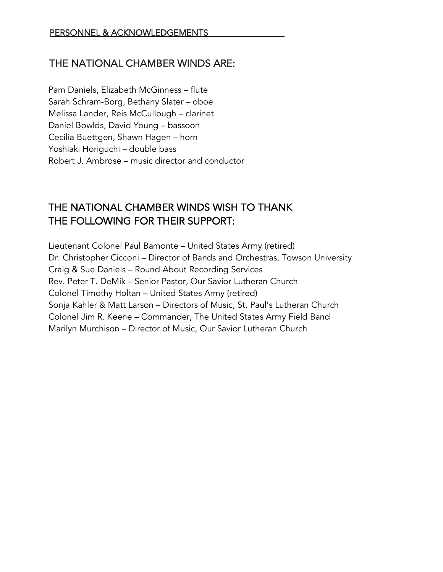### THE NATIONAL CHAMBER WINDS ARE:

Pam Daniels, Elizabeth McGinness – flute Sarah Schram-Borg, Bethany Slater – oboe Melissa Lander, Reis McCullough – clarinet Daniel Bowlds, David Young – bassoon Cecilia Buettgen, Shawn Hagen – horn Yoshiaki Horiguchi – double bass Robert J. Ambrose – music director and conductor

## THE NATIONAL CHAMBER WINDS WISH TO THANK THE FOLLOWING FOR THEIR SUPPORT:

Lieutenant Colonel Paul Bamonte – United States Army (retired) Dr. Christopher Cicconi – Director of Bands and Orchestras, Towson University Craig & Sue Daniels – Round About Recording Services Rev. Peter T. DeMik – Senior Pastor, Our Savior Lutheran Church Colonel Timothy Holtan – United States Army (retired) Sonja Kahler & Matt Larson – Directors of Music, St. Paul's Lutheran Church Colonel Jim R. Keene – Commander, The United States Army Field Band Marilyn Murchison – Director of Music, Our Savior Lutheran Church